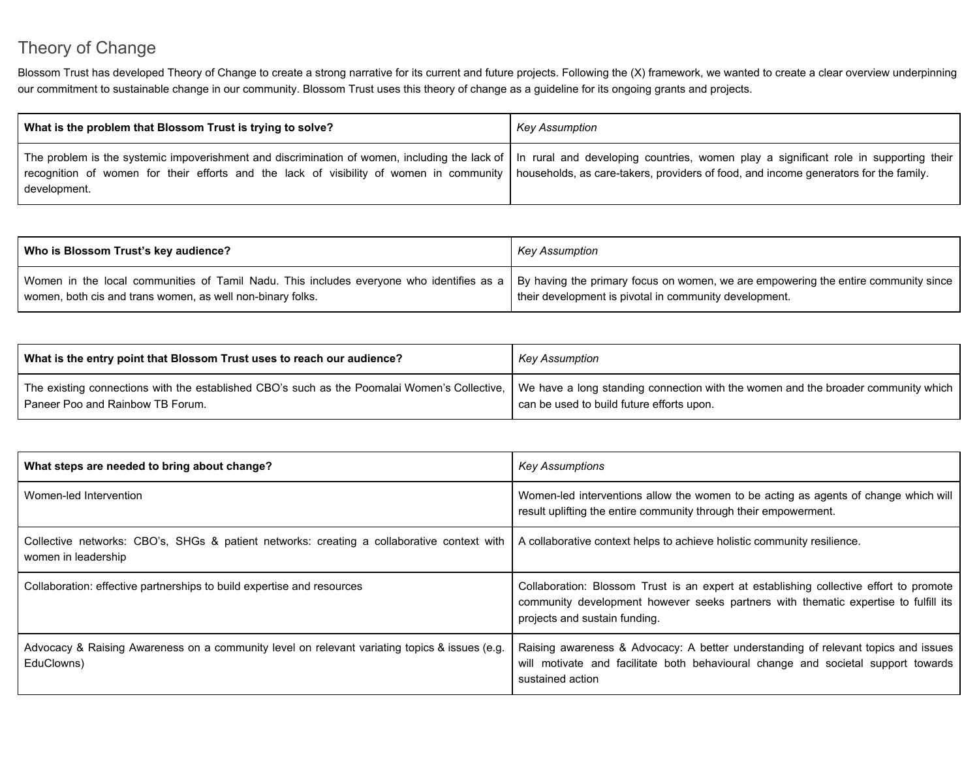## Theory of Change

Blossom Trust has developed Theory of Change to create a strong narrative for its current and future projects. Following the (X) framework, we wanted to create a clear overview underpinning our commitment to sustainable change in our community. Blossom Trust uses this theory of change as a guideline for its ongoing grants and projects.

| What is the problem that Blossom Trust is trying to solve?                                                                                                                                                                                                                                                                                                                               | Key Assumption |
|------------------------------------------------------------------------------------------------------------------------------------------------------------------------------------------------------------------------------------------------------------------------------------------------------------------------------------------------------------------------------------------|----------------|
| The problem is the systemic impoverishment and discrimination of women, including the lack of   In rural and developing countries, women play a significant role in supporting their  <br>recognition of women for their efforts and the lack of visibility of women in community   households, as care-takers, providers of food, and income generators for the family.<br>development. |                |

| Who is Blossom Trust's key audience?                                                                                                                                                                                                        | Key Assumption                                         |
|---------------------------------------------------------------------------------------------------------------------------------------------------------------------------------------------------------------------------------------------|--------------------------------------------------------|
| Women in the local communities of Tamil Nadu. This includes everyone who identifies as a   By having the primary focus on women, we are empowering the entire community since<br>women, both cis and trans women, as well non-binary folks. | their development is pivotal in community development. |

| What is the entry point that Blossom Trust uses to reach our audience?                       | Key Assumption                                                                    |
|----------------------------------------------------------------------------------------------|-----------------------------------------------------------------------------------|
| The existing connections with the established CBO's such as the Poomalai Women's Collective, | We have a long standing connection with the women and the broader community which |
| Paneer Poo and Rainbow TB Forum.                                                             | can be used to build future efforts upon.                                         |

| What steps are needed to bring about change?                                                                      | <b>Key Assumptions</b>                                                                                                                                                                                         |
|-------------------------------------------------------------------------------------------------------------------|----------------------------------------------------------------------------------------------------------------------------------------------------------------------------------------------------------------|
| Women-led Intervention                                                                                            | Women-led interventions allow the women to be acting as agents of change which will<br>result uplifting the entire community through their empowerment.                                                        |
| Collective networks: CBO's, SHGs & patient networks: creating a collaborative context with<br>women in leadership | A collaborative context helps to achieve holistic community resilience.                                                                                                                                        |
| Collaboration: effective partnerships to build expertise and resources                                            | Collaboration: Blossom Trust is an expert at establishing collective effort to promote<br>community development however seeks partners with thematic expertise to fulfill its<br>projects and sustain funding. |
| Advocacy & Raising Awareness on a community level on relevant variating topics & issues (e.g.<br>EduClowns)       | Raising awareness & Advocacy: A better understanding of relevant topics and issues<br>will motivate and facilitate both behavioural change and societal support towards<br>sustained action                    |